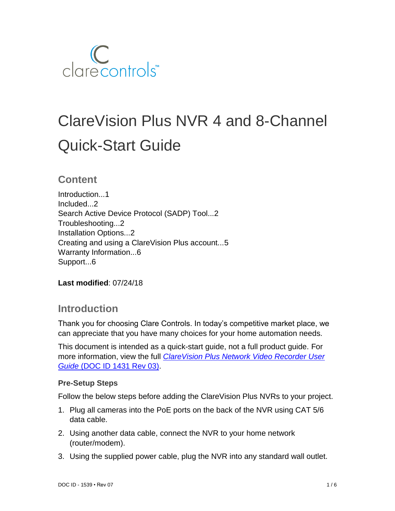

# ClareVision Plus NVR 4 and 8-Channel Quick-Start Guide

## **Content**

Introduction...1 Included...2 Search Active Device Protocol (SADP) Tool...2 Troubleshooting...2 Installation Options...2 Creating and using a ClareVision Plus account...5 Warranty Information...6 Support...6

**Last modified**: 07/24/18

## **Introduction**

Thank you for choosing Clare Controls. In today's competitive market place, we can appreciate that you have many choices for your home automation needs.

This document is intended as a quick-start guide, not a full product guide. For more information, view the full *[ClareVision Plus Network Video Recorder User](https://knowledgebaseclarecontrols.atlassian.net/wiki/spaces/CVP/pages/65077301/ClareVision+Plus+Network+Video+Recorder+User+Guide)  Guide* [\(DOC ID 1431 Rev 03\).](https://knowledgebaseclarecontrols.atlassian.net/wiki/spaces/CVP/pages/65077301/ClareVision+Plus+Network+Video+Recorder+User+Guide)

#### **Pre-Setup Steps**

Follow the below steps before adding the ClareVision Plus NVRs to your project.

- 1. Plug all cameras into the PoE ports on the back of the NVR using CAT 5/6 data cable.
- 2. Using another data cable, connect the NVR to your home network (router/modem).
- 3. Using the supplied power cable, plug the NVR into any standard wall outlet.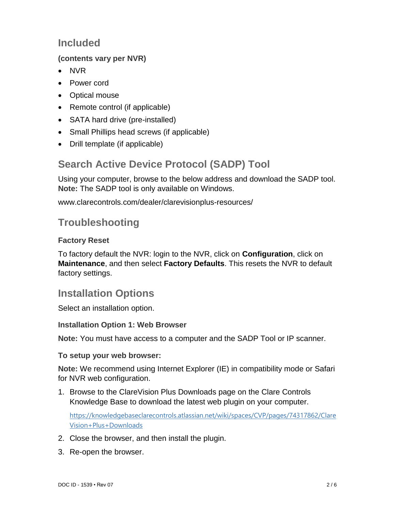# **Included**

## **(contents vary per NVR)**

- NVR
- Power cord
- Optical mouse
- Remote control (if applicable)
- SATA hard drive (pre-installed)
- Small Phillips head screws (if applicable)
- Drill template (if applicable)

# **Search Active Device Protocol (SADP) Tool**

Using your computer, browse to the below address and download the SADP tool. **Note:** The SADP tool is only available on Windows.

[www.clarecontrols.com/dealer/clarevisionplus-resources/](http://www.clarecontrols.com/dealer/clarevisionplus-resources/)

# **Troubleshooting**

## **Factory Reset**

To factory default the NVR: login to the NVR, click on **Configuration**, click on **Maintenance**, and then select **Factory Defaults**. This resets the NVR to default factory settings.

# **Installation Options**

Select an installation option.

#### **Installation Option 1: Web Browser**

**Note:** You must have access to a computer and the SADP Tool or IP scanner.

**To setup your web browser:**

**Note:** We recommend using Internet Explorer (IE) in compatibility mode or Safari for NVR web configuration.

1. Browse to the ClareVision Plus Downloads page on the Clare Controls Knowledge Base to download the latest web plugin on your computer.

[https://knowledgebaseclarecontrols.atlassian.net/wiki/spaces/CVP/pages/74317862/Clare](https://knowledgebaseclarecontrols.atlassian.net/wiki/spaces/CVP/pages/74317862/ClareVision+Plus+Downloads) [Vision+Plus+Downloads](https://knowledgebaseclarecontrols.atlassian.net/wiki/spaces/CVP/pages/74317862/ClareVision+Plus+Downloads)

- 2. Close the browser, and then install the plugin.
- 3. Re-open the browser.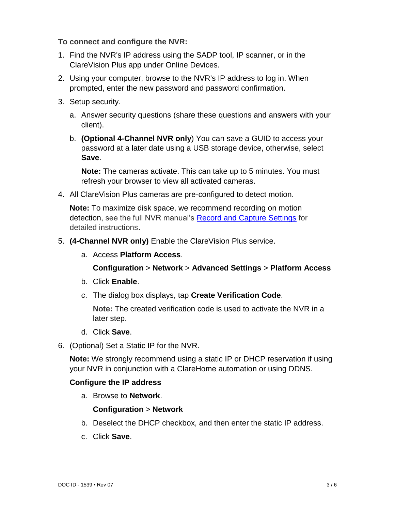#### **To connect and configure the NVR:**

- 1. Find the NVR's IP address using the SADP tool, IP scanner, or in the ClareVision Plus app under Online Devices.
- 2. Using your computer, browse to the NVR's IP address to log in. When prompted, enter the new password and password confirmation.
- 3. Setup security.
	- a. Answer security questions (share these questions and answers with your client).
	- b. **(Optional 4-Channel NVR only**) You can save a GUID to access your password at a later date using a USB storage device, otherwise, select **Save**.

**Note:** The cameras activate. This can take up to 5 minutes. You must refresh your browser to view all activated cameras.

4. All ClareVision Plus cameras are pre-configured to detect motion.

**Note:** To maximize disk space, we recommend recording on motion detection, see the full NVR manual's [Record and Capture Settings](https://knowledgebaseclarecontrols.atlassian.net/wiki/spaces/CVP/pages/66027663) for detailed instructions.

- 5. **(4-Channel NVR only)** Enable the ClareVision Plus service.
	- a. Access **Platform Access**.

**Configuration** > **Network** > **Advanced Settings** > **Platform Access**

- b. Click **Enable**.
- c. The dialog box displays, tap **Create Verification Code**.

**Note:** The created verification code is used to activate the NVR in a later step.

- d. Click **Save**.
- 6. (Optional) Set a Static IP for the NVR.

**Note:** We strongly recommend using a static IP or DHCP reservation if using your NVR in conjunction with a ClareHome automation or using DDNS.

#### **Configure the IP address**

a. Browse to **Network**.

#### **Configuration** > **Network**

- b. Deselect the DHCP checkbox, and then enter the static IP address.
- c. Click **Save**.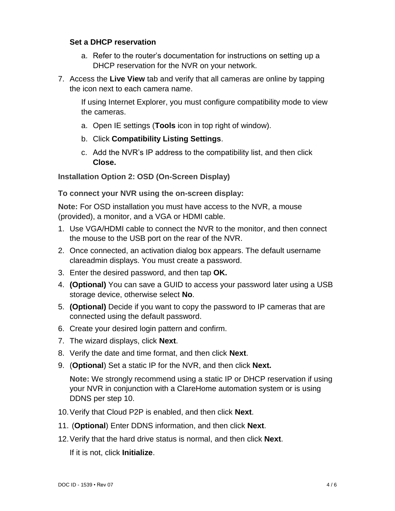#### **Set a DHCP reservation**

- a. Refer to the router's documentation for instructions on setting up a DHCP reservation for the NVR on your network.
- 7. Access the **Live View** tab and verify that all cameras are online by tapping the icon next to each camera name.

If using Internet Explorer, you must configure compatibility mode to view the cameras.

- a. Open IE settings (**Tools** icon in top right of window).
- b. Click **Compatibility Listing Settings**.
- c. Add the NVR's IP address to the compatibility list, and then click **Close.**

**Installation Option 2: OSD (On-Screen Display)**

**To connect your NVR using the on-screen display:** 

**Note:** For OSD installation you must have access to the NVR, a mouse (provided), a monitor, and a VGA or HDMI cable.

- 1. Use VGA/HDMI cable to connect the NVR to the monitor, and then connect the mouse to the USB port on the rear of the NVR.
- 2. Once connected, an activation dialog box appears. The default username clareadmin displays. You must create a password.
- 3. Enter the desired password, and then tap **OK.**
- 4. **(Optional)** You can save a GUID to access your password later using a USB storage device, otherwise select **No**.
- 5. **(Optional)** Decide if you want to copy the password to IP cameras that are connected using the default password.
- 6. Create your desired login pattern and confirm.
- 7. The wizard displays, click **Next**.
- 8. Verify the date and time format, and then click **Next**.
- 9. (**Optional**) Set a static IP for the NVR, and then click **Next.**

**Note:** We strongly recommend using a static IP or DHCP reservation if using your NVR in conjunction with a ClareHome automation system or is using DDNS per step 10.

- 10.Verify that Cloud P2P is enabled, and then click **Next**.
- 11. (**Optional**) Enter DDNS information, and then click **Next**.
- 12.Verify that the hard drive status is normal, and then click **Next**.

If it is not, click **Initialize**.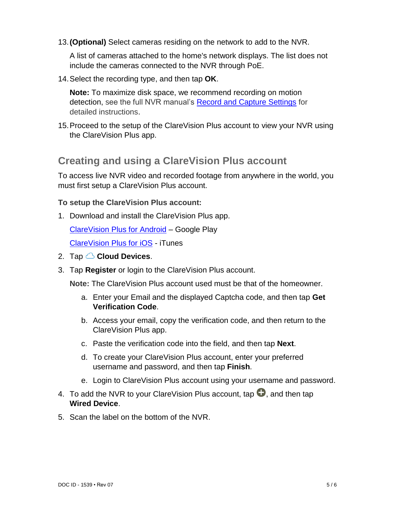13.**(Optional)** Select cameras residing on the network to add to the NVR.

A list of cameras attached to the home's network displays. The list does not include the cameras connected to the NVR through PoE.

14.Select the recording type, and then tap **OK**.

**Note:** To maximize disk space, we recommend recording on motion detection, see the full NVR manual's [Record and Capture Settings](https://knowledgebaseclarecontrols.atlassian.net/wiki/spaces/CVP/pages/66027663) for detailed instructions.

15.Proceed to the setup of the ClareVision Plus account to view your NVR using the ClareVision Plus app.

## **Creating and using a ClareVision Plus account**

To access live NVR video and recorded footage from anywhere in the world, you must first setup a ClareVision Plus account.

**To setup the ClareVision Plus account:**

1. Download and install the ClareVision Plus app.

[ClareVision Plus for Android](https://play.google.com/store/apps/details?id=com.clarecontrols.ClareVisionPlusG2) – Google Play

[ClareVision Plus for iOS](https://itunes.apple.com/us/app/clarevision-plus/id1231425658?mt=8) - iTunes

- 2. Tap **Cloud Devices**.
- 3. Tap **Register** or login to the ClareVision Plus account.

**Note:** The ClareVision Plus account used must be that of the homeowner.

- a. Enter your Email and the displayed Captcha code, and then tap **Get Verification Code**.
- b. Access your email, copy the verification code, and then return to the ClareVision Plus app.
- c. Paste the verification code into the field, and then tap **Next**.
- d. To create your ClareVision Plus account, enter your preferred username and password, and then tap **Finish**.
- e. Login to ClareVision Plus account using your username and password.
- 4. To add the NVR to your ClareVision Plus account, tap  $\blacksquare$ , and then tap **Wired Device**.
- 5. Scan the label on the bottom of the NVR.